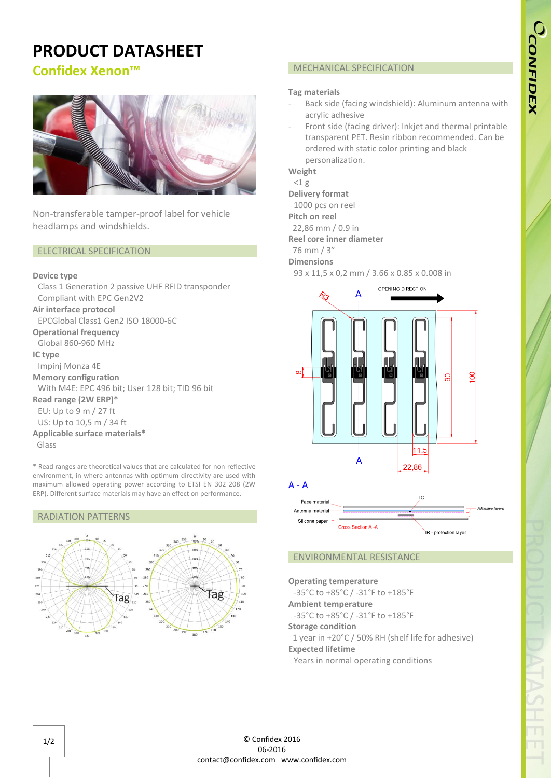# **CONFIDEX**

# **PRODUCT DATASHEET**

**Confidex Xenon™**



Non-transferable tamper-proof label for vehicle headlamps and windshields.

### ELECTRICAL SPECIFICATION

### **Device type**

Class 1 Generation 2 passive UHF RFID transponder Compliant with EPC Gen2V2 **Air interface protocol** EPCGlobal Class1 Gen2 ISO 18000-6C **Operational frequency** Global 860-960 MHz **IC type** Impinj Monza 4E **Memory configuration** With M4E: EPC 496 bit; User 128 bit; TID 96 bit **Read range (2W ERP)\*** EU: Up to 9 m / 27 ft US: Up to 10,5 m / 34 ft **Applicable surface materials\*** Glass

\* Read ranges are theoretical values that are calculated for non-reflective environment, in where antennas with optimum directivity are used with maximum allowed operating power according to ETSI EN 302 208 (2W ERP). Different surface materials may have an effect on performance.

### RADIATION PATTERNS





# MECHANICAL SPECIFICATION

### **Tag materials**

- Back side (facing windshield): Aluminum antenna with acrylic adhesive
- Front side (facing driver): Inkjet and thermal printable transparent PET. Resin ribbon recommended. Can be ordered with static color printing and black personalization.

**Weight**

# $<$ 1 $g$

**Delivery format** 1000 pcs on reel

**Pitch on reel** 

- 22,86 mm / 0.9 in
- **Reel core inner diameter**

76 mm / 3"

**Dimensions**

93 x 11,5 x 0,2 mm / 3.66 x 0.85 x 0.008 in



Antenna materia Silicone pape Cross Section A -A IR - protection layer

# ENVIRONMENTAL RESISTANCE

**Operating temperature** -35°C to +85°C / -31°F to +185°F **Ambient temperature** -35°C to +85°C / -31°F to +185°F **Storage condition** 1 year in +20°C / 50% RH (shelf life for adhesive) **Expected lifetime**

Years in normal operating conditions